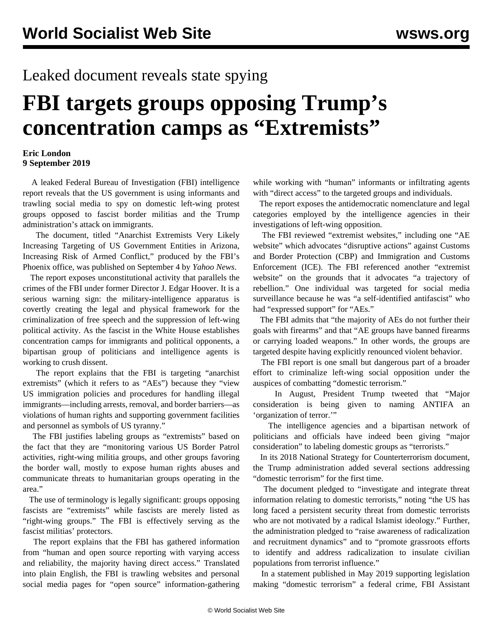## Leaked document reveals state spying

## **FBI targets groups opposing Trump's concentration camps as "Extremists"**

## **Eric London 9 September 2019**

 A leaked Federal Bureau of Investigation (FBI) intelligence report reveals that the US government is using informants and trawling social media to spy on domestic left-wing protest groups opposed to fascist border militias and the Trump administration's attack on immigrants.

 The document, titled "Anarchist Extremists Very Likely Increasing Targeting of US Government Entities in Arizona, Increasing Risk of Armed Conflict," produced by the FBI's Phoenix office, was published on September 4 by *Yahoo News*.

 The report exposes unconstitutional activity that parallels the crimes of the FBI under former Director J. Edgar Hoover. It is a serious warning sign: the military-intelligence apparatus is covertly creating the legal and physical framework for the criminalization of free speech and the suppression of left-wing political activity. As the fascist in the White House establishes concentration camps for immigrants and political opponents, a bipartisan group of politicians and intelligence agents is working to crush dissent.

 The report explains that the FBI is targeting "anarchist extremists" (which it refers to as "AEs") because they "view US immigration policies and procedures for handling illegal immigrants—including arrests, removal, and border barriers—as violations of human rights and supporting government facilities and personnel as symbols of US tyranny."

 The FBI justifies labeling groups as "extremists" based on the fact that they are "monitoring various US Border Patrol activities, right-wing militia groups, and other groups favoring the border wall, mostly to expose human rights abuses and communicate threats to humanitarian groups operating in the area."

 The use of terminology is legally significant: groups opposing fascists are "extremists" while fascists are merely listed as "right-wing groups." The FBI is effectively serving as the fascist militias' protectors.

 The report explains that the FBI has gathered information from "human and open source reporting with varying access and reliability, the majority having direct access." Translated into plain English, the FBI is trawling websites and personal social media pages for "open source" information-gathering while working with "human" informants or infiltrating agents with "direct access" to the targeted groups and individuals.

 The report exposes the antidemocratic nomenclature and legal categories employed by the intelligence agencies in their investigations of left-wing opposition.

 The FBI reviewed "extremist websites," including one "AE website" which advocates "disruptive actions" against Customs and Border Protection (CBP) and Immigration and Customs Enforcement (ICE). The FBI referenced another "extremist website" on the grounds that it advocates "a trajectory of rebellion." One individual was targeted for social media surveillance because he was "a self-identified antifascist" who had "expressed support" for "AEs."

 The FBI admits that "the majority of AEs do not further their goals with firearms" and that "AE groups have banned firearms or carrying loaded weapons." In other words, the groups are targeted despite having explicitly renounced violent behavior.

 The FBI report is one small but dangerous part of a broader effort to criminalize left-wing social opposition under the auspices of combatting "domestic terrorism."

 In August, President Trump tweeted that "Major consideration is being given to naming ANTIFA an 'organization of terror.'"

 The intelligence agencies and a bipartisan network of politicians and officials have indeed been giving "major consideration" to labeling domestic groups as "terrorists."

 In its 2018 National Strategy for Counterterrorism document, the Trump administration added several sections addressing "domestic terrorism" for the first time.

 The document pledged to "investigate and integrate threat information relating to domestic terrorists," noting "the US has long faced a persistent security threat from domestic terrorists who are not motivated by a radical Islamist ideology." Further, the administration pledged to "raise awareness of radicalization and recruitment dynamics" and to "promote grassroots efforts to identify and address radicalization to insulate civilian populations from terrorist influence."

 In a statement published in May 2019 supporting legislation making "domestic terrorism" a federal crime, FBI Assistant